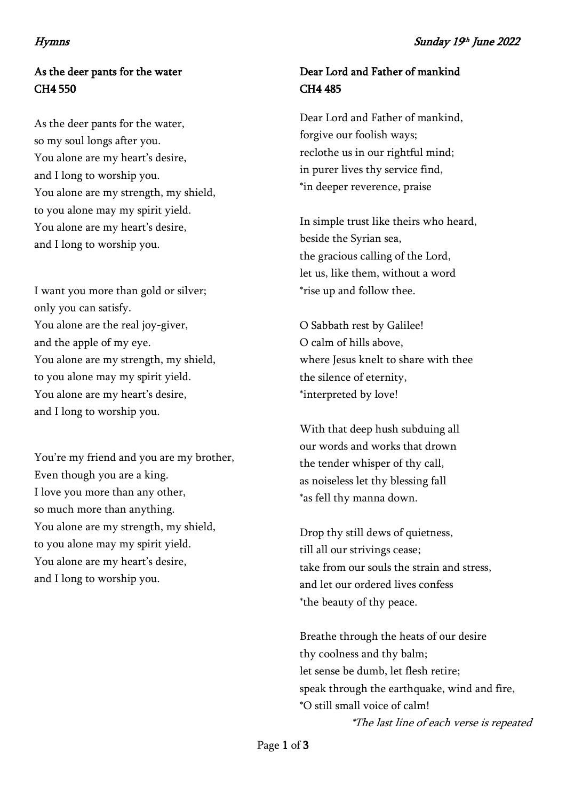# As the deer pants for the water CH4 550

As the deer pants for the water, so my soul longs after you. You alone are my heart's desire, and I long to worship you. You alone are my strength, my shield, to you alone may my spirit yield. You alone are my heart's desire, and I long to worship you.

I want you more than gold or silver; only you can satisfy. You alone are the real joy-giver, and the apple of my eye. You alone are my strength, my shield, to you alone may my spirit yield. You alone are my heart's desire, and I long to worship you.

You're my friend and you are my brother, Even though you are a king. I love you more than any other, so much more than anything. You alone are my strength, my shield, to you alone may my spirit yield. You alone are my heart's desire, and I long to worship you.

## Dear Lord and Father of mankind CH4 485

Dear Lord and Father of mankind, forgive our foolish ways; reclothe us in our rightful mind; in purer lives thy service find, \*in deeper reverence, praise

In simple trust like theirs who heard, beside the Syrian sea, the gracious calling of the Lord, let us, like them, without a word \*rise up and follow thee.

O Sabbath rest by Galilee! O calm of hills above, where Jesus knelt to share with thee the silence of eternity, \*interpreted by love!

With that deep hush subduing all our words and works that drown the tender whisper of thy call, as noiseless let thy blessing fall \*as fell thy manna down.

Drop thy still dews of quietness, till all our strivings cease; take from our souls the strain and stress, and let our ordered lives confess \*the beauty of thy peace.

Breathe through the heats of our desire thy coolness and thy balm; let sense be dumb, let flesh retire; speak through the earthquake, wind and fire, \*O still small voice of calm!

\*The last line of each verse is repeated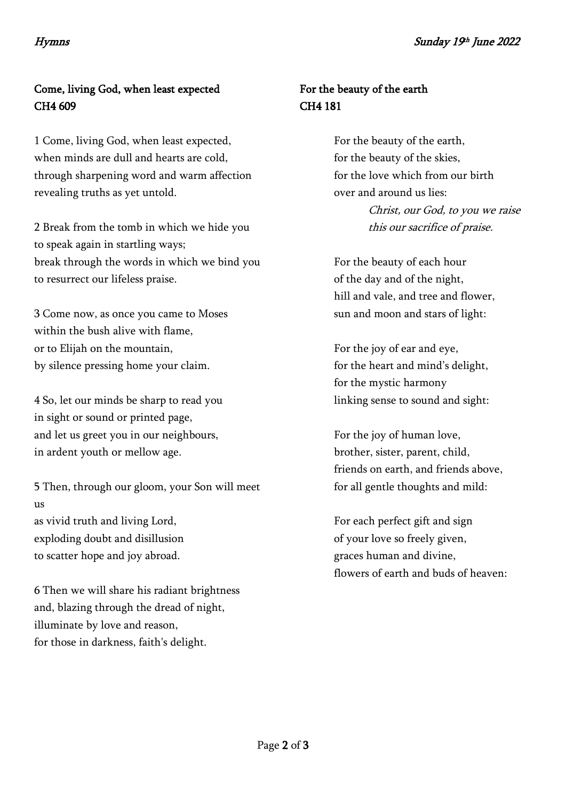# Come, living God, when least expected CH4 609

1 Come, living God, when least expected, when minds are dull and hearts are cold, through sharpening word and warm affection revealing truths as yet untold.

2 Break from the tomb in which we hide you to speak again in startling ways; break through the words in which we bind you to resurrect our lifeless praise.

3 Come now, as once you came to Moses within the bush alive with flame, or to Elijah on the mountain, by silence pressing home your claim.

4 So, let our minds be sharp to read you in sight or sound or printed page, and let us greet you in our neighbours, in ardent youth or mellow age.

5 Then, through our gloom, your Son will meet us as vivid truth and living Lord, exploding doubt and disillusion to scatter hope and joy abroad.

6 Then we will share his radiant brightness and, blazing through the dread of night, illuminate by love and reason, for those in darkness, faith's delight.

## For the beauty of the earth CH4 181

For the beauty of the earth, for the beauty of the skies, for the love which from our birth over and around us lies:

> Christ, our God, to you we raise this our sacrifice of praise.

For the beauty of each hour of the day and of the night, hill and vale, and tree and flower, sun and moon and stars of light:

For the joy of ear and eye, for the heart and mind's delight, for the mystic harmony linking sense to sound and sight:

For the joy of human love, brother, sister, parent, child, friends on earth, and friends above, for all gentle thoughts and mild:

For each perfect gift and sign of your love so freely given, graces human and divine, flowers of earth and buds of heaven: